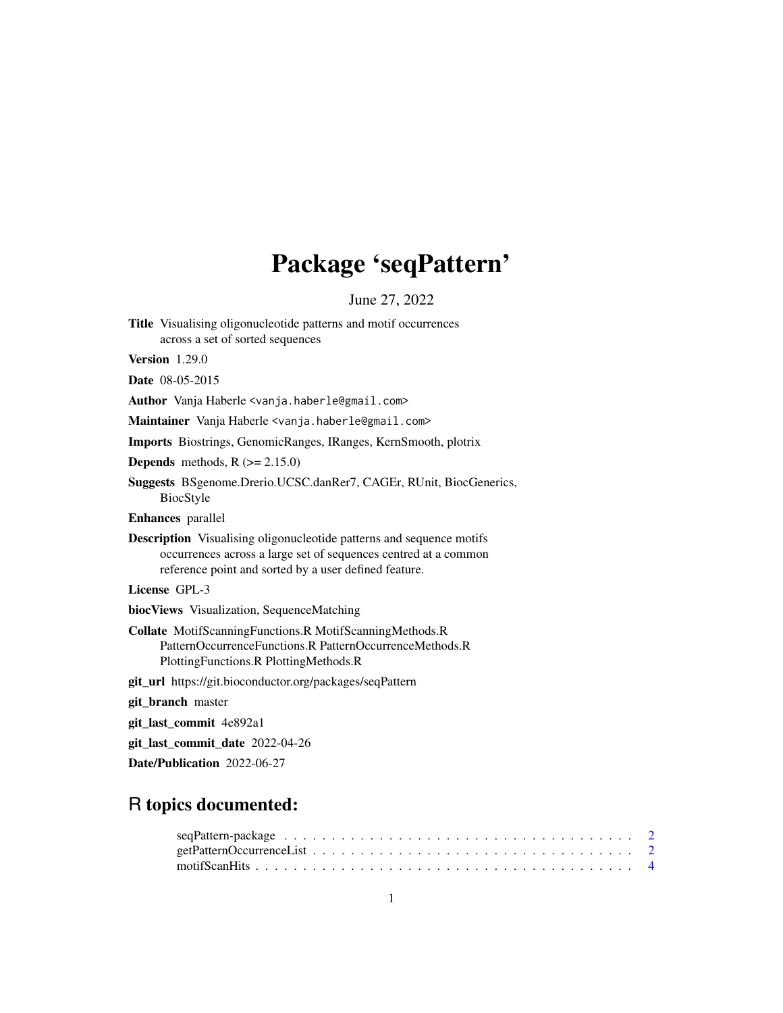# Package 'seqPattern'

June 27, 2022

<span id="page-0-0"></span>Title Visualising oligonucleotide patterns and motif occurrences across a set of sorted sequences

Version 1.29.0

Date 08-05-2015

Author Vanja Haberle <vanja.haberle@gmail.com>

Maintainer Vanja Haberle <vanja.haberle@gmail.com>

Imports Biostrings, GenomicRanges, IRanges, KernSmooth, plotrix

**Depends** methods,  $R$  ( $>= 2.15.0$ )

Suggests BSgenome.Drerio.UCSC.danRer7, CAGEr, RUnit, BiocGenerics, BiocStyle

Enhances parallel

Description Visualising oligonucleotide patterns and sequence motifs occurrences across a large set of sequences centred at a common reference point and sorted by a user defined feature.

License GPL-3

biocViews Visualization, SequenceMatching

Collate MotifScanningFunctions.R MotifScanningMethods.R PatternOccurrenceFunctions.R PatternOccurrenceMethods.R PlottingFunctions.R PlottingMethods.R

git\_url https://git.bioconductor.org/packages/seqPattern

git\_branch master

git\_last\_commit 4e892a1

git\_last\_commit\_date 2022-04-26

Date/Publication 2022-06-27

# R topics documented: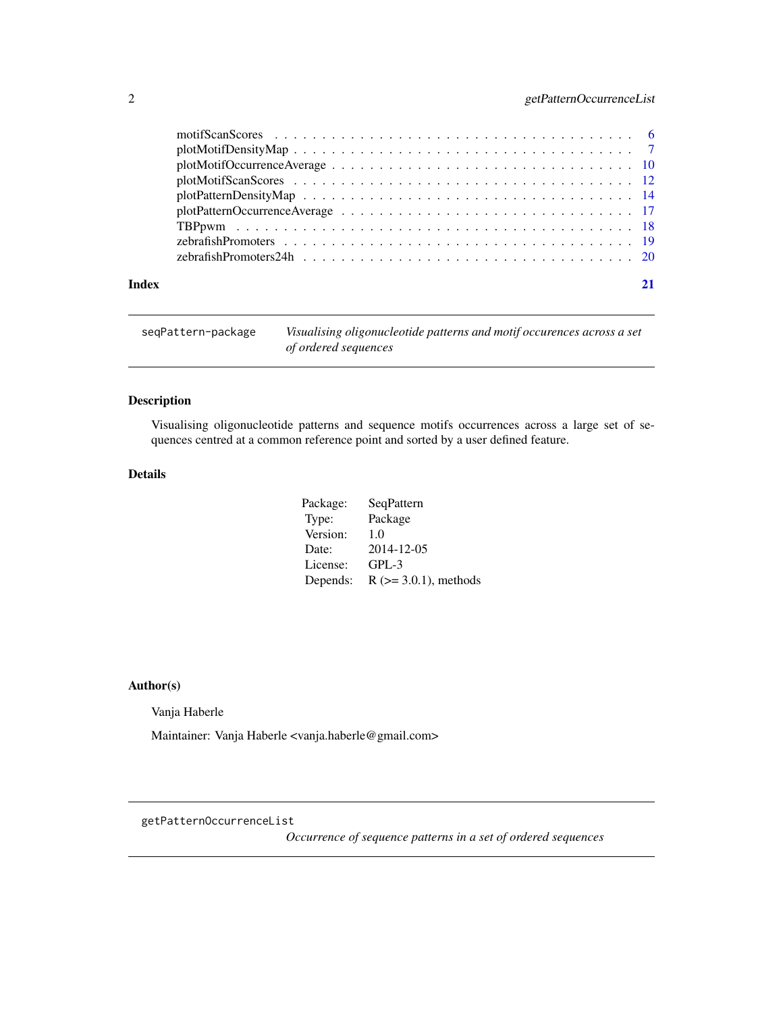<span id="page-1-0"></span>

| Index |  |
|-------|--|

seqPattern-package *Visualising oligonucleotide patterns and motif occurences across a set of ordered sequences*

# <span id="page-1-2"></span>Description

Visualising oligonucleotide patterns and sequence motifs occurrences across a large set of sequences centred at a common reference point and sorted by a user defined feature.

# Details

| Package: | SeqPattern                  |
|----------|-----------------------------|
| Type:    | Package                     |
| Version: | 1.0                         |
| Date:    | 2014-12-05                  |
| License: | $GPL-3$                     |
| Depends: | $R$ ( $>= 3.0.1$ ), methods |

# Author(s)

Vanja Haberle

Maintainer: Vanja Haberle <vanja.haberle@gmail.com>

<span id="page-1-1"></span>getPatternOccurrenceList

*Occurrence of sequence patterns in a set of ordered sequences*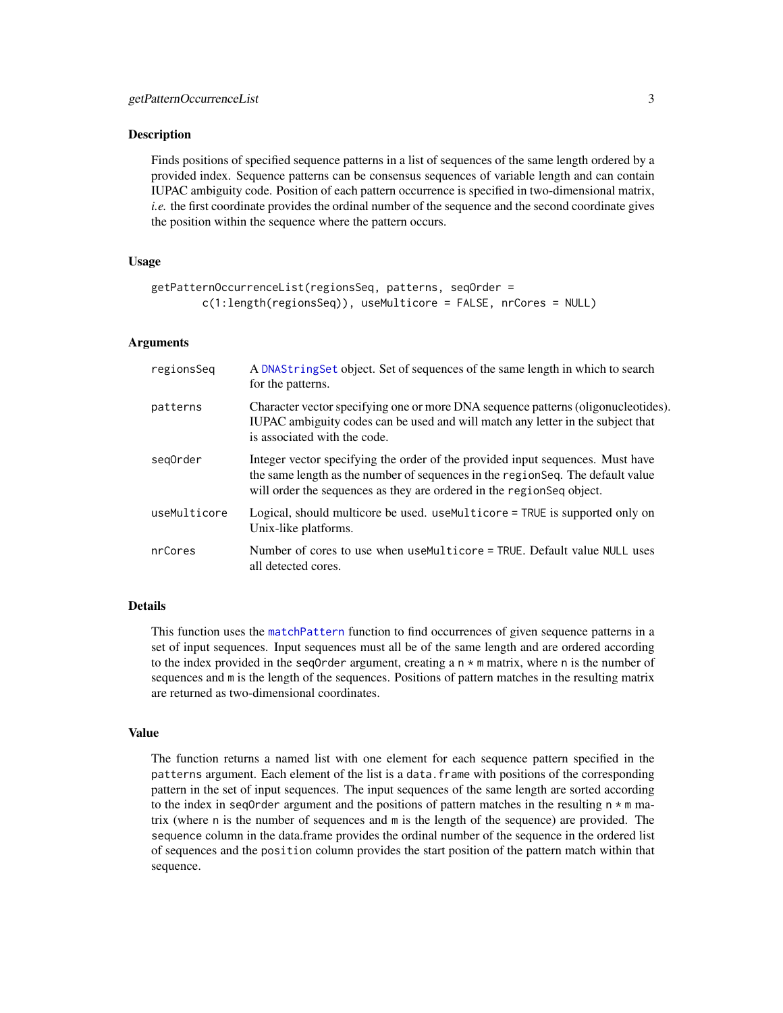#### <span id="page-2-0"></span>Description

Finds positions of specified sequence patterns in a list of sequences of the same length ordered by a provided index. Sequence patterns can be consensus sequences of variable length and can contain IUPAC ambiguity code. Position of each pattern occurrence is specified in two-dimensional matrix, *i.e.* the first coordinate provides the ordinal number of the sequence and the second coordinate gives the position within the sequence where the pattern occurs.

#### Usage

```
getPatternOccurrenceList(regionsSeq, patterns, seqOrder =
       c(1:length(regionsSeq)), useMulticore = FALSE, nrCores = NULL)
```
#### Arguments

| regionsSeq   | A DNAStringSet object. Set of sequences of the same length in which to search<br>for the patterns.                                                                                                                                         |
|--------------|--------------------------------------------------------------------------------------------------------------------------------------------------------------------------------------------------------------------------------------------|
| patterns     | Character vector specifying one or more DNA sequence patterns (oligonucleotides).<br>IUPAC ambiguity codes can be used and will match any letter in the subject that<br>is associated with the code.                                       |
| segOrder     | Integer vector specifying the order of the provided input sequences. Must have<br>the same length as the number of sequences in the region Seq. The default value<br>will order the sequences as they are ordered in the regionSeq object. |
| useMulticore | Logical, should multicore be used. use Multicore = TRUE is supported only on<br>Unix-like platforms.                                                                                                                                       |
| nrCores      | Number of cores to use when useMulticore = TRUE. Default value NULL uses<br>all detected cores.                                                                                                                                            |

# Details

This function uses the [matchPattern](#page-0-0) function to find occurrences of given sequence patterns in a set of input sequences. Input sequences must all be of the same length and are ordered according to the index provided in the seqOrder argument, creating a n \* m matrix, where n is the number of sequences and m is the length of the sequences. Positions of pattern matches in the resulting matrix are returned as two-dimensional coordinates.

#### Value

The function returns a named list with one element for each sequence pattern specified in the patterns argument. Each element of the list is a data. frame with positions of the corresponding pattern in the set of input sequences. The input sequences of the same length are sorted according to the index in seq0rder argument and the positions of pattern matches in the resulting  $n * m$  matrix (where n is the number of sequences and m is the length of the sequence) are provided. The sequence column in the data.frame provides the ordinal number of the sequence in the ordered list of sequences and the position column provides the start position of the pattern match within that sequence.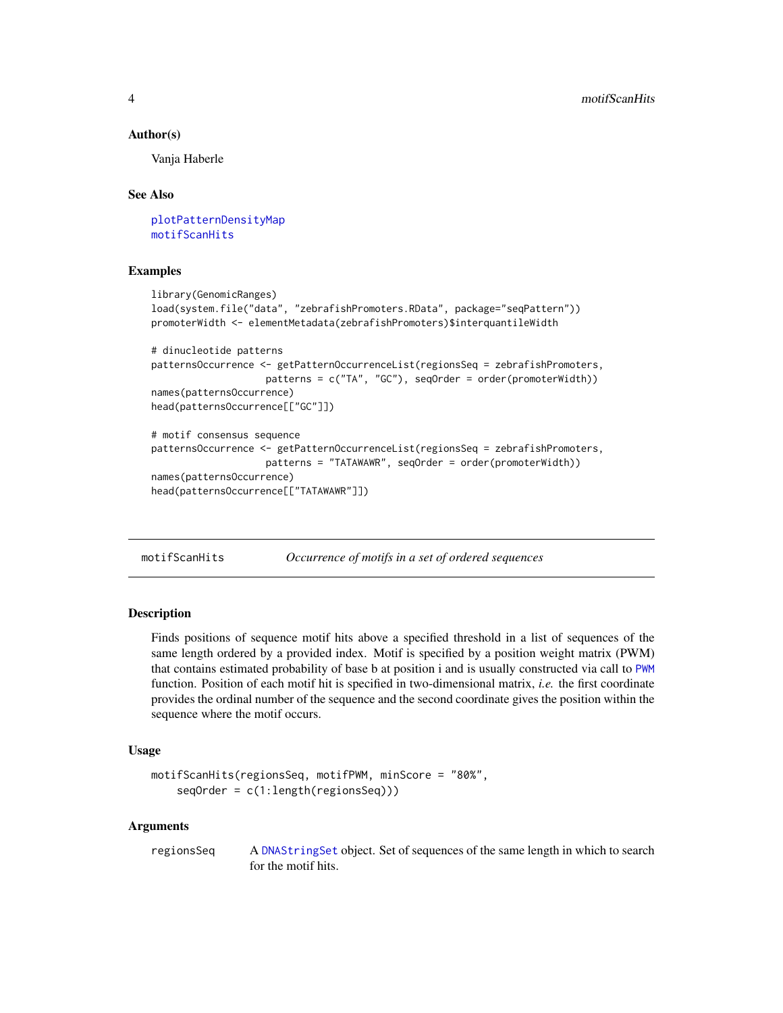#### Author(s)

Vanja Haberle

#### See Also

[plotPatternDensityMap](#page-13-1) [motifScanHits](#page-3-1)

#### Examples

```
library(GenomicRanges)
load(system.file("data", "zebrafishPromoters.RData", package="seqPattern"))
promoterWidth <- elementMetadata(zebrafishPromoters)$interquantileWidth
# dinucleotide patterns
patternsOccurrence <- getPatternOccurrenceList(regionsSeq = zebrafishPromoters,
                    patterns = c("TA", "GC"), seqOrder = order(promoterWidth))
names(patternsOccurrence)
head(patternsOccurrence[["GC"]])
# motif consensus sequence
patternsOccurrence <- getPatternOccurrenceList(regionsSeq = zebrafishPromoters,
                   patterns = "TATAWAWR", seqOrder = order(promoterWidth))
names(patternsOccurrence)
head(patternsOccurrence[["TATAWAWR"]])
```
<span id="page-3-1"></span>

| motifScanHits |  |  | Occurrence of motifs in a set of ordered sequences |
|---------------|--|--|----------------------------------------------------|
|---------------|--|--|----------------------------------------------------|

#### Description

Finds positions of sequence motif hits above a specified threshold in a list of sequences of the same length ordered by a provided index. Motif is specified by a position weight matrix (PWM) that contains estimated probability of base b at position i and is usually constructed via call to [PWM](#page-0-0) function. Position of each motif hit is specified in two-dimensional matrix, *i.e.* the first coordinate provides the ordinal number of the sequence and the second coordinate gives the position within the sequence where the motif occurs.

#### Usage

```
motifScanHits(regionsSeq, motifPWM, minScore = "80%",
    seqOrder = c(1:length(regionsSeq)))
```
#### Arguments

regionsSeq A [DNAStringSet](#page-0-0) object. Set of sequences of the same length in which to search for the motif hits.

<span id="page-3-0"></span>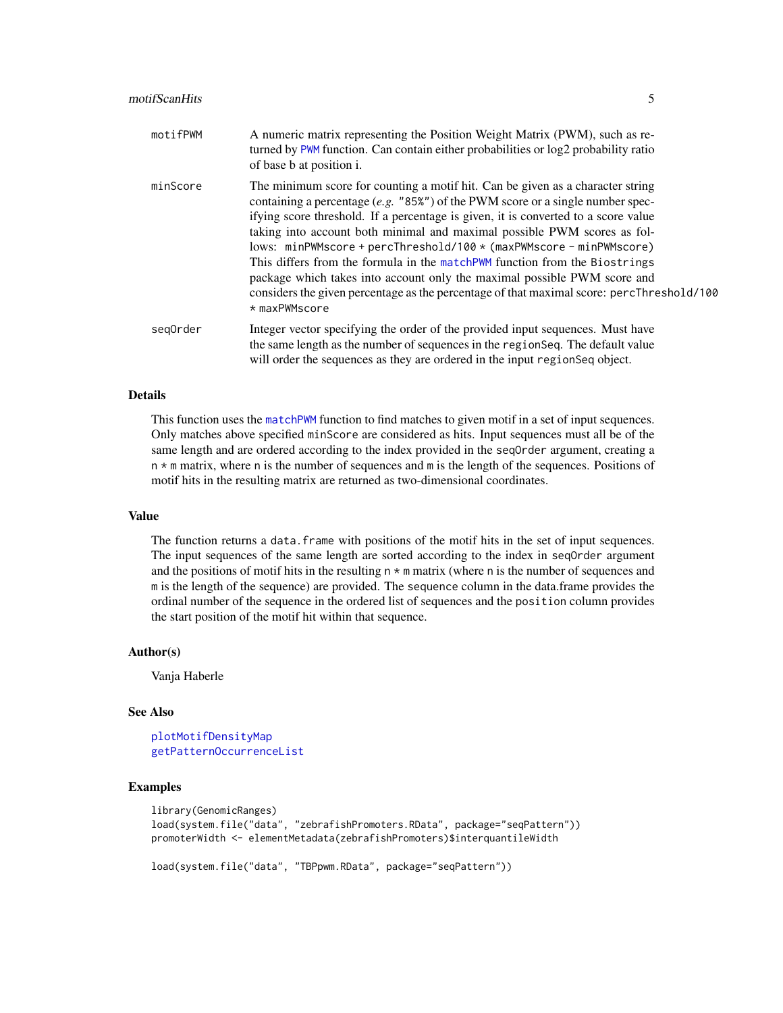<span id="page-4-0"></span>

| motifPWM | A numeric matrix representing the Position Weight Matrix (PWM), such as re-<br>turned by PWM function. Can contain either probabilities or log2 probability ratio<br>of base b at position i.                                                                                                                                                                                                                                                                                                                                                                                                                                                                                              |
|----------|--------------------------------------------------------------------------------------------------------------------------------------------------------------------------------------------------------------------------------------------------------------------------------------------------------------------------------------------------------------------------------------------------------------------------------------------------------------------------------------------------------------------------------------------------------------------------------------------------------------------------------------------------------------------------------------------|
| minScore | The minimum score for counting a motif hit. Can be given as a character string<br>containing a percentage $(e.g.$ "85%") of the PWM score or a single number spec-<br>if ying score threshold. If a percentage is given, it is converted to a score value<br>taking into account both minimal and maximal possible PWM scores as fol-<br>lows: minPWMscore + percThreshold/100 $\star$ (maxPWMscore - minPWMscore)<br>This differs from the formula in the matchPWM function from the Biostrings<br>package which takes into account only the maximal possible PWM score and<br>considers the given percentage as the percentage of that maximal score: percThreshold/100<br>* maxPWMscore |
|          | The comparison of the state of the state of the state of the state of the state of $\mathbf{M}$ and $\mathbf{L}$ and                                                                                                                                                                                                                                                                                                                                                                                                                                                                                                                                                                       |

seq Order Integer vector specifying the order of the provided input sequences. Must have the same length as the number of sequences in the regionSeq. The default value will order the sequences as they are ordered in the input regionSeq object.

#### Details

This function uses the [matchPWM](#page-0-0) function to find matches to given motif in a set of input sequences. Only matches above specified minScore are considered as hits. Input sequences must all be of the same length and are ordered according to the index provided in the seqOrder argument, creating a  $n \times m$  matrix, where n is the number of sequences and m is the length of the sequences. Positions of motif hits in the resulting matrix are returned as two-dimensional coordinates.

#### Value

The function returns a data.frame with positions of the motif hits in the set of input sequences. The input sequences of the same length are sorted according to the index in seqOrder argument and the positions of motif hits in the resulting  $n \star m$  matrix (where n is the number of sequences and m is the length of the sequence) are provided. The sequence column in the data.frame provides the ordinal number of the sequence in the ordered list of sequences and the position column provides the start position of the motif hit within that sequence.

### Author(s)

Vanja Haberle

#### See Also

```
plotMotifDensityMap
getPatternOccurrenceList
```
# Examples

```
library(GenomicRanges)
load(system.file("data", "zebrafishPromoters.RData", package="seqPattern"))
promoterWidth <- elementMetadata(zebrafishPromoters)$interquantileWidth
load(system.file("data", "TBPpwm.RData", package="seqPattern"))
```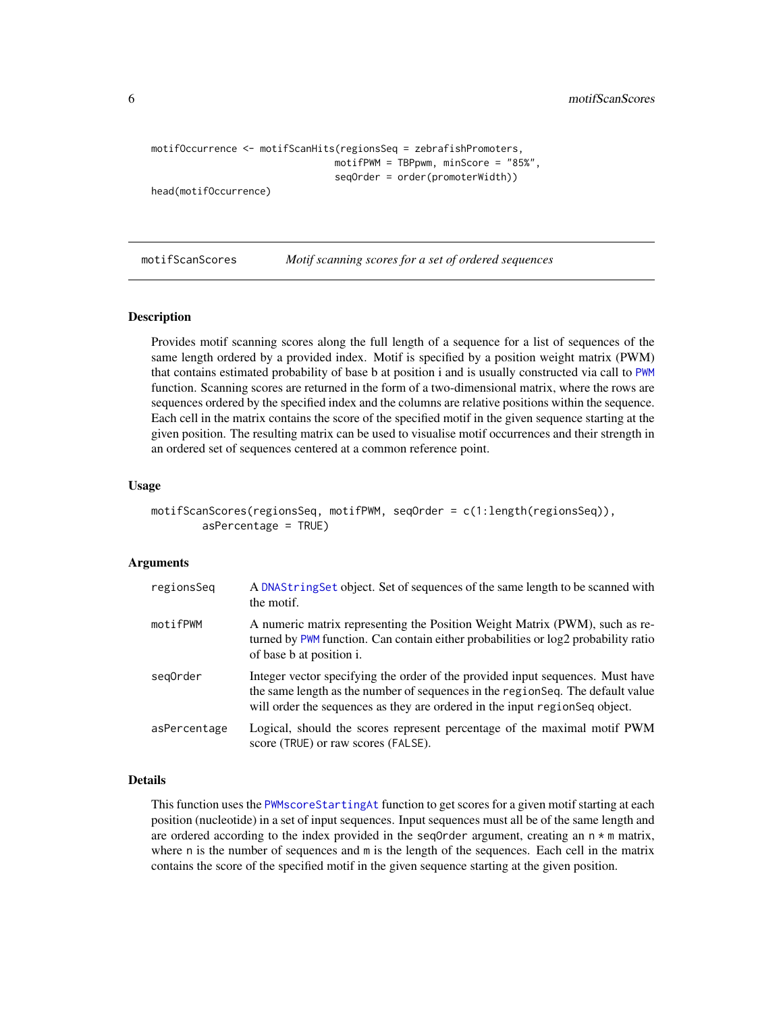<span id="page-5-0"></span>6 motifScanScores

```
motifOccurrence <- motifScanHits(regionsSeq = zebrafishPromoters,
                                motifPWM = TBPpwm, minScore = "85%",
                                seqOrder = order(promoterWidth))
```
head(motifOccurrence)

<span id="page-5-1"></span>

motifScanScores *Motif scanning scores for a set of ordered sequences*

#### Description

Provides motif scanning scores along the full length of a sequence for a list of sequences of the same length ordered by a provided index. Motif is specified by a position weight matrix (PWM) that contains estimated probability of base b at position i and is usually constructed via call to [PWM](#page-0-0) function. Scanning scores are returned in the form of a two-dimensional matrix, where the rows are sequences ordered by the specified index and the columns are relative positions within the sequence. Each cell in the matrix contains the score of the specified motif in the given sequence starting at the given position. The resulting matrix can be used to visualise motif occurrences and their strength in an ordered set of sequences centered at a common reference point.

#### Usage

```
motifScanScores(regionsSeq, motifPWM, seqOrder = c(1:length(regionsSeq)),
       asPercentage = TRUE)
```
#### Arguments

| regionsSeq   | A DNAStringSet object. Set of sequences of the same length to be scanned with<br>the motif.                                                                                                                                                       |
|--------------|---------------------------------------------------------------------------------------------------------------------------------------------------------------------------------------------------------------------------------------------------|
| motifPWM     | A numeric matrix representing the Position Weight Matrix (PWM), such as re-<br>turned by PWM function. Can contain either probabilities or log2 probability ratio<br>of base b at position i.                                                     |
| segOrder     | Integer vector specifying the order of the provided input sequences. Must have<br>the same length as the number of sequences in the region Seq. The default value<br>will order the sequences as they are ordered in the input region Seq object. |
| asPercentage | Logical, should the scores represent percentage of the maximal motif PWM<br>score (TRUE) or raw scores (FALSE).                                                                                                                                   |

#### Details

This function uses the [PWMscoreStartingAt](#page-0-0) function to get scores for a given motif starting at each position (nucleotide) in a set of input sequences. Input sequences must all be of the same length and are ordered according to the index provided in the seq Order argument, creating an  $n \times m$  matrix, where n is the number of sequences and m is the length of the sequences. Each cell in the matrix contains the score of the specified motif in the given sequence starting at the given position.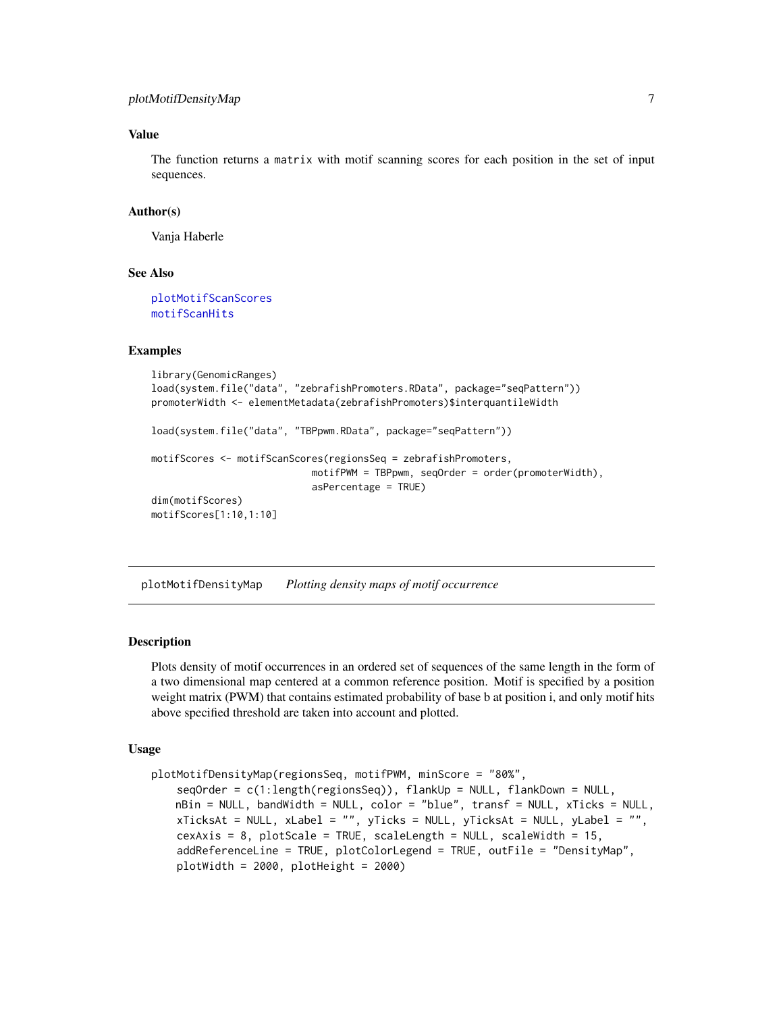### <span id="page-6-0"></span>plotMotifDensityMap 7

# Value

The function returns a matrix with motif scanning scores for each position in the set of input sequences.

#### Author(s)

Vanja Haberle

#### See Also

[plotMotifScanScores](#page-11-1) [motifScanHits](#page-3-1)

#### Examples

```
library(GenomicRanges)
load(system.file("data", "zebrafishPromoters.RData", package="seqPattern"))
promoterWidth <- elementMetadata(zebrafishPromoters)$interquantileWidth
load(system.file("data", "TBPpwm.RData", package="seqPattern"))
motifScores <- motifScanScores(regionsSeq = zebrafishPromoters,
                            motifPWM = TBPpwm, seqOrder = order(promoterWidth),
                            asPercentage = TRUE)
dim(motifScores)
motifScores[1:10,1:10]
```
<span id="page-6-1"></span>plotMotifDensityMap *Plotting density maps of motif occurrence*

#### **Description**

Plots density of motif occurrences in an ordered set of sequences of the same length in the form of a two dimensional map centered at a common reference position. Motif is specified by a position weight matrix (PWM) that contains estimated probability of base b at position i, and only motif hits above specified threshold are taken into account and plotted.

#### Usage

```
plotMotifDensityMap(regionsSeq, motifPWM, minScore = "80%",
    seqOrder = c(1:length(regionsSeq)), flankUp = NULL, flankDown = NULL,
   nBin = NULL, bandWidth = NULL, color = "blue", transf = NULL, xTicks = NULL,
   xTicksAt = NULL, xLabel = "", yTicks = NULL, yTicksAt = NULL, yLabel = "",
   cexAxis = 8, plotScale = TRUE, scaleLength = NULL, scaleWidth = 15,
   addReferenceLine = TRUE, plotColorLegend = TRUE, outFile = "DensityMap",
   plotWidth = 2000, plotHeight = 2000)
```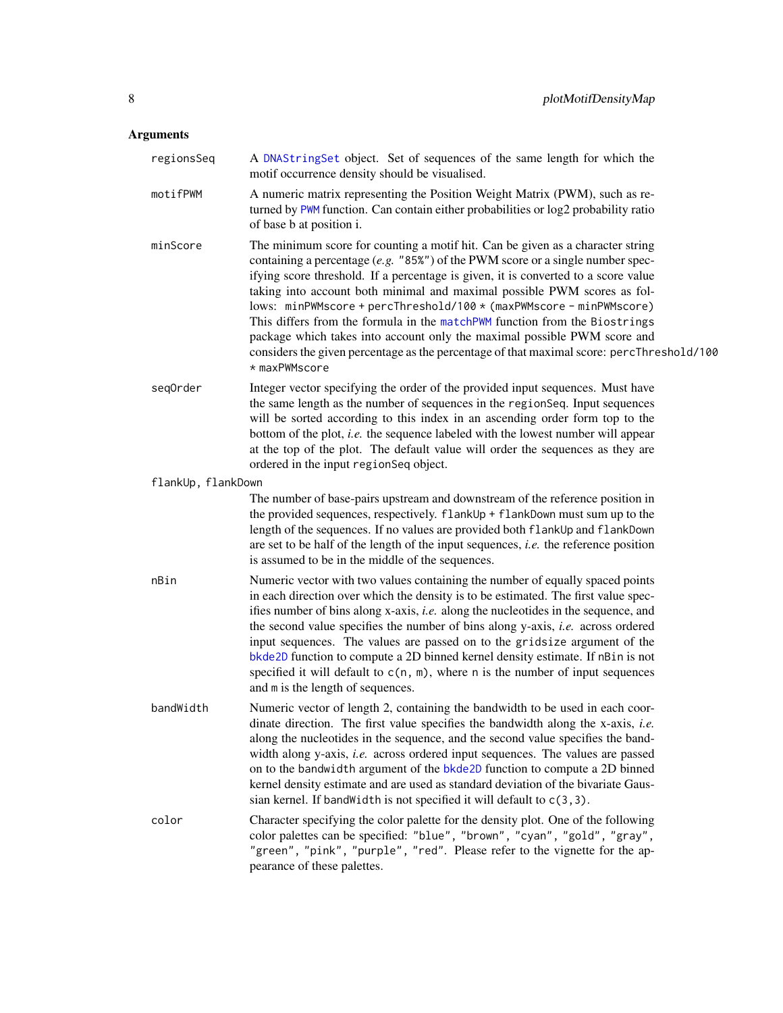<span id="page-7-0"></span>

| regionsSeq         | A DNAStringSet object. Set of sequences of the same length for which the<br>motif occurrence density should be visualised.                                                                                                                                                                                                                                                                                                                                                                                                                                                                                                                                                          |
|--------------------|-------------------------------------------------------------------------------------------------------------------------------------------------------------------------------------------------------------------------------------------------------------------------------------------------------------------------------------------------------------------------------------------------------------------------------------------------------------------------------------------------------------------------------------------------------------------------------------------------------------------------------------------------------------------------------------|
| motifPWM           | A numeric matrix representing the Position Weight Matrix (PWM), such as re-<br>turned by PWM function. Can contain either probabilities or log2 probability ratio<br>of base b at position i.                                                                                                                                                                                                                                                                                                                                                                                                                                                                                       |
| minScore           | The minimum score for counting a motif hit. Can be given as a character string<br>containing a percentage $(e.g.$ "85%") of the PWM score or a single number spec-<br>ifying score threshold. If a percentage is given, it is converted to a score value<br>taking into account both minimal and maximal possible PWM scores as fol-<br>lows: minPWMscore + percThreshold/100 * (maxPWMscore - minPWMscore)<br>This differs from the formula in the matchPWM function from the Biostrings<br>package which takes into account only the maximal possible PWM score and<br>considers the given percentage as the percentage of that maximal score: percThreshold/100<br>* maxPWMscore |
| seqOrder           | Integer vector specifying the order of the provided input sequences. Must have<br>the same length as the number of sequences in the regionSeq. Input sequences<br>will be sorted according to this index in an ascending order form top to the<br>bottom of the plot, i.e. the sequence labeled with the lowest number will appear<br>at the top of the plot. The default value will order the sequences as they are<br>ordered in the input regionSeq object.                                                                                                                                                                                                                      |
| flankUp, flankDown |                                                                                                                                                                                                                                                                                                                                                                                                                                                                                                                                                                                                                                                                                     |
|                    | The number of base-pairs upstream and downstream of the reference position in<br>the provided sequences, respectively. flankUp + flankDown must sum up to the<br>length of the sequences. If no values are provided both flankUp and flankDown<br>are set to be half of the length of the input sequences, <i>i.e.</i> the reference position<br>is assumed to be in the middle of the sequences.                                                                                                                                                                                                                                                                                   |
| nBin               | Numeric vector with two values containing the number of equally spaced points<br>in each direction over which the density is to be estimated. The first value spec-<br>ifies number of bins along x-axis, i.e. along the nucleotides in the sequence, and<br>the second value specifies the number of bins along y-axis, <i>i.e.</i> across ordered<br>input sequences. The values are passed on to the gridsize argument of the<br>bkde2D function to compute a 2D binned kernel density estimate. If nBin is not<br>specified it will default to $c(n, m)$ , where n is the number of input sequences<br>and m is the length of sequences.                                        |
| bandWidth          | Numeric vector of length 2, containing the bandwidth to be used in each coor-<br>dinate direction. The first value specifies the bandwidth along the x-axis, i.e.<br>along the nucleotides in the sequence, and the second value specifies the band-<br>width along y-axis, i.e. across ordered input sequences. The values are passed<br>on to the bandwidth argument of the bkde2D function to compute a 2D binned<br>kernel density estimate and are used as standard deviation of the bivariate Gaus-<br>sian kernel. If bandWidth is not specified it will default to $c(3,3)$ .                                                                                               |
| color              | Character specifying the color palette for the density plot. One of the following<br>color palettes can be specified: "blue", "brown", "cyan", "gold", "gray",<br>"green", "pink", "purple", "red". Please refer to the vignette for the ap-<br>pearance of these palettes.                                                                                                                                                                                                                                                                                                                                                                                                         |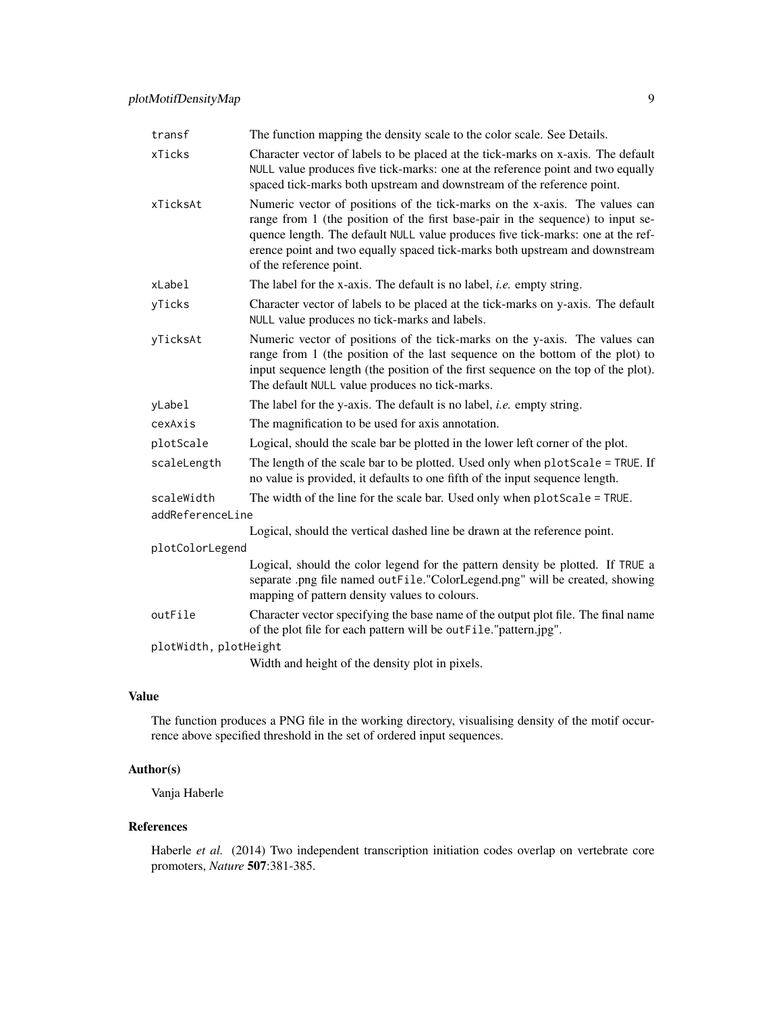| transf                | The function mapping the density scale to the color scale. See Details.                                                                                                                                                                                                                                                                                     |
|-----------------------|-------------------------------------------------------------------------------------------------------------------------------------------------------------------------------------------------------------------------------------------------------------------------------------------------------------------------------------------------------------|
| xTicks                | Character vector of labels to be placed at the tick-marks on x-axis. The default<br>NULL value produces five tick-marks: one at the reference point and two equally<br>spaced tick-marks both upstream and downstream of the reference point.                                                                                                               |
| xTicksAt              | Numeric vector of positions of the tick-marks on the x-axis. The values can<br>range from 1 (the position of the first base-pair in the sequence) to input se-<br>quence length. The default NULL value produces five tick-marks: one at the ref-<br>erence point and two equally spaced tick-marks both upstream and downstream<br>of the reference point. |
| xLabel                | The label for the x-axis. The default is no label, <i>i.e.</i> empty string.                                                                                                                                                                                                                                                                                |
| yTicks                | Character vector of labels to be placed at the tick-marks on y-axis. The default<br>NULL value produces no tick-marks and labels.                                                                                                                                                                                                                           |
| yTicksAt              | Numeric vector of positions of the tick-marks on the y-axis. The values can<br>range from 1 (the position of the last sequence on the bottom of the plot) to<br>input sequence length (the position of the first sequence on the top of the plot).<br>The default NULL value produces no tick-marks.                                                        |
| yLabel                | The label for the y-axis. The default is no label, <i>i.e.</i> empty string.                                                                                                                                                                                                                                                                                |
| cexAxis               | The magnification to be used for axis annotation.                                                                                                                                                                                                                                                                                                           |
| plotScale             | Logical, should the scale bar be plotted in the lower left corner of the plot.                                                                                                                                                                                                                                                                              |
| scaleLength           | The length of the scale bar to be plotted. Used only when plotScale = TRUE. If<br>no value is provided, it defaults to one fifth of the input sequence length.                                                                                                                                                                                              |
| scaleWidth            | The width of the line for the scale bar. Used only when plot Scale = TRUE.                                                                                                                                                                                                                                                                                  |
| addReferenceLine      |                                                                                                                                                                                                                                                                                                                                                             |
|                       | Logical, should the vertical dashed line be drawn at the reference point.                                                                                                                                                                                                                                                                                   |
| plotColorLegend       |                                                                                                                                                                                                                                                                                                                                                             |
|                       | Logical, should the color legend for the pattern density be plotted. If TRUE a<br>separate .png file named outFile."ColorLegend.png" will be created, showing<br>mapping of pattern density values to colours.                                                                                                                                              |
| outFile               | Character vector specifying the base name of the output plot file. The final name<br>of the plot file for each pattern will be outFile."pattern.jpg".                                                                                                                                                                                                       |
| plotWidth, plotHeight |                                                                                                                                                                                                                                                                                                                                                             |
|                       | Width and height of the density plot in pixels.                                                                                                                                                                                                                                                                                                             |

# Value

The function produces a PNG file in the working directory, visualising density of the motif occurrence above specified threshold in the set of ordered input sequences.

# Author(s)

Vanja Haberle

# References

Haberle *et al.* (2014) Two independent transcription initiation codes overlap on vertebrate core promoters, *Nature* 507:381-385.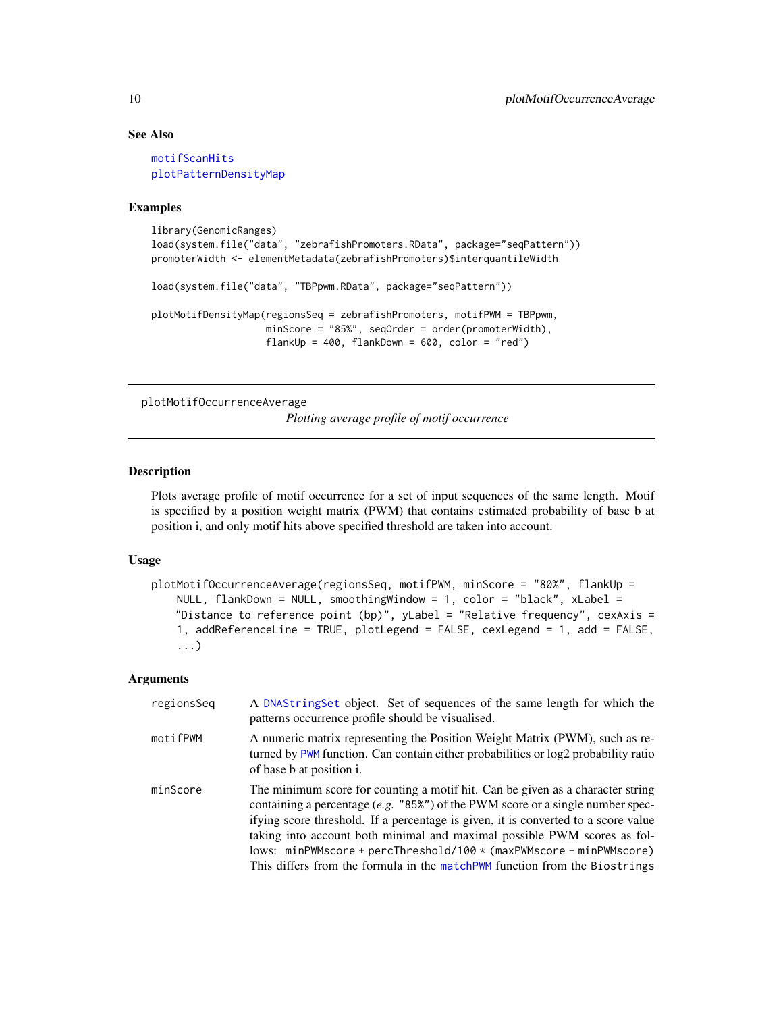# See Also

[motifScanHits](#page-3-1) [plotPatternDensityMap](#page-13-1)

# Examples

```
library(GenomicRanges)
load(system.file("data", "zebrafishPromoters.RData", package="seqPattern"))
promoterWidth <- elementMetadata(zebrafishPromoters)$interquantileWidth
load(system.file("data", "TBPpwm.RData", package="seqPattern"))
plotMotifDensityMap(regionsSeq = zebrafishPromoters, motifPWM = TBPpwm,
                   minScore = "85%", seqOrder = order(promoterWidth),
                    flankUp = 400, flankDown = 600, color = "red")
```
plotMotifOccurrenceAverage

*Plotting average profile of motif occurrence*

# **Description**

Plots average profile of motif occurrence for a set of input sequences of the same length. Motif is specified by a position weight matrix (PWM) that contains estimated probability of base b at position i, and only motif hits above specified threshold are taken into account.

#### Usage

```
plotMotifOccurrenceAverage(regionsSeq, motifPWM, minScore = "80%", flankUp =
   NULL, flankDown = NULL, smoothingWindow = 1, color = "black", xLabel =
   "Distance to reference point (bp)", yLabel = "Relative frequency", cexAxis =
    1, addReferenceLine = TRUE, plotLegend = FALSE, cexLegend = 1, add = FALSE,
    ...)
```

| regionsSeq | A DNAStringSet object. Set of sequences of the same length for which the<br>patterns occurrence profile should be visualised.                                                                                                                                                                                                                                                                                                                                                                  |
|------------|------------------------------------------------------------------------------------------------------------------------------------------------------------------------------------------------------------------------------------------------------------------------------------------------------------------------------------------------------------------------------------------------------------------------------------------------------------------------------------------------|
| motifPWM   | A numeric matrix representing the Position Weight Matrix (PWM), such as re-<br>turned by PWM function. Can contain either probabilities or log2 probability ratio<br>of base b at position i.                                                                                                                                                                                                                                                                                                  |
| minScore   | The minimum score for counting a motif hit. Can be given as a character string<br>containing a percentage (e.g. "85%") of the PWM score or a single number spec-<br>if ying score threshold. If a percentage is given, it is converted to a score value<br>taking into account both minimal and maximal possible PWM scores as fol-<br>lows: minPWMscore + percThreshold/100 $\star$ (maxPWMscore - minPWMscore)<br>This differs from the formula in the matchPWM function from the Biostrings |

<span id="page-9-0"></span>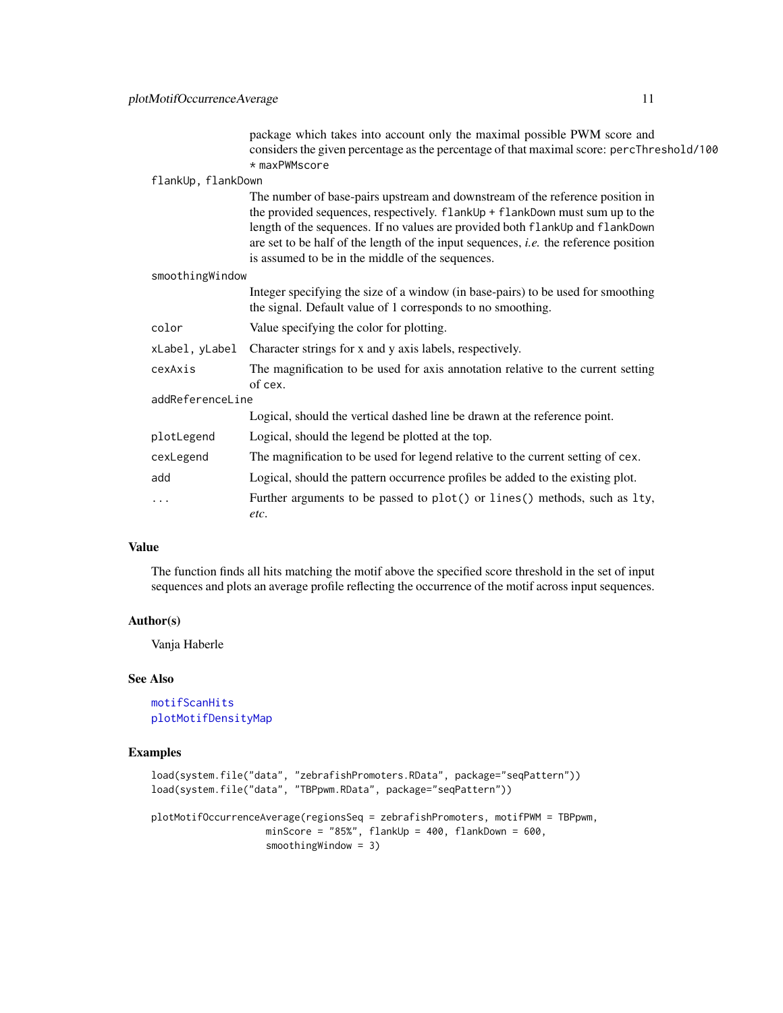package which takes into account only the maximal possible PWM score and considers the given percentage as the percentage of that maximal score: percThreshold/100 \* maxPWMscore

#### <span id="page-10-0"></span>flankUp, flankDown

|                  | The number of base-pairs upstream and downstream of the reference position in<br>the provided sequences, respectively. flankUp + flankDown must sum up to the<br>length of the sequences. If no values are provided both flankUp and flankDown<br>are set to be half of the length of the input sequences, <i>i.e.</i> the reference position |
|------------------|-----------------------------------------------------------------------------------------------------------------------------------------------------------------------------------------------------------------------------------------------------------------------------------------------------------------------------------------------|
|                  | is assumed to be in the middle of the sequences.                                                                                                                                                                                                                                                                                              |
| smoothingWindow  |                                                                                                                                                                                                                                                                                                                                               |
|                  | Integer specifying the size of a window (in base-pairs) to be used for smoothing<br>the signal. Default value of 1 corresponds to no smoothing.                                                                                                                                                                                               |
| color            | Value specifying the color for plotting.                                                                                                                                                                                                                                                                                                      |
| xLabel, yLabel   | Character strings for x and y axis labels, respectively.                                                                                                                                                                                                                                                                                      |
| cexAxis          | The magnification to be used for axis annotation relative to the current setting<br>of cex.                                                                                                                                                                                                                                                   |
| addReferenceLine |                                                                                                                                                                                                                                                                                                                                               |
|                  | Logical, should the vertical dashed line be drawn at the reference point.                                                                                                                                                                                                                                                                     |
| plotLegend       | Logical, should the legend be plotted at the top.                                                                                                                                                                                                                                                                                             |
| cexLegend        | The magnification to be used for legend relative to the current setting of cex.                                                                                                                                                                                                                                                               |
| add              | Logical, should the pattern occurrence profiles be added to the existing plot.                                                                                                                                                                                                                                                                |
| .                | Further arguments to be passed to plot() or lines() methods, such as lty,<br>etc.                                                                                                                                                                                                                                                             |

#### Value

The function finds all hits matching the motif above the specified score threshold in the set of input sequences and plots an average profile reflecting the occurrence of the motif across input sequences.

#### Author(s)

Vanja Haberle

#### See Also

[motifScanHits](#page-3-1) [plotMotifDensityMap](#page-6-1)

# Examples

```
load(system.file("data", "zebrafishPromoters.RData", package="seqPattern"))
load(system.file("data", "TBPpwm.RData", package="seqPattern"))
plotMotifOccurrenceAverage(regionsSeq = zebrafishPromoters, motifPWM = TBPpwm,
                   minScore = "85%", flankUp = 400, flankDown = 600,
                    smoothingWindow = 3)
```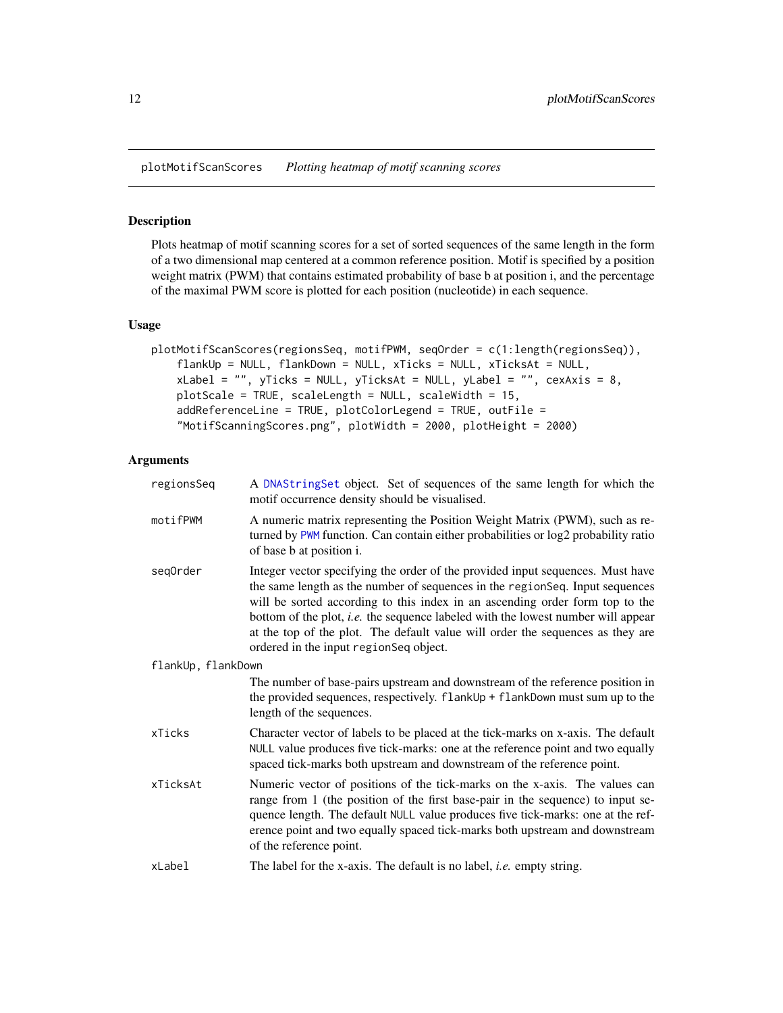<span id="page-11-1"></span><span id="page-11-0"></span>plotMotifScanScores *Plotting heatmap of motif scanning scores*

#### Description

Plots heatmap of motif scanning scores for a set of sorted sequences of the same length in the form of a two dimensional map centered at a common reference position. Motif is specified by a position weight matrix (PWM) that contains estimated probability of base b at position i, and the percentage of the maximal PWM score is plotted for each position (nucleotide) in each sequence.

# Usage

```
plotMotifScanScores(regionsSeq, motifPWM, seqOrder = c(1:length(regionsSeq)),
    flankUp = NULL, flankDown = NULL, xTicks = NULL, xTicksAt = NULL,
    xLabel = "", yTicks = NULL, yTicksAt = NULL, yLabel = "", cexAxis = 8,
   plotScale = TRUE, scaleLength = NULL, scaleWidth = 15,
    addReferenceLine = TRUE, plotColorLegend = TRUE, outFile =
    "MotifScanningScores.png", plotWidth = 2000, plotHeight = 2000)
```

| regionsSeq         | A DNAStringSet object. Set of sequences of the same length for which the<br>motif occurrence density should be visualised.                                                                                                                                                                                                                                                                                                                                     |
|--------------------|----------------------------------------------------------------------------------------------------------------------------------------------------------------------------------------------------------------------------------------------------------------------------------------------------------------------------------------------------------------------------------------------------------------------------------------------------------------|
| motifPWM           | A numeric matrix representing the Position Weight Matrix (PWM), such as re-<br>turned by PWM function. Can contain either probabilities or log2 probability ratio<br>of base b at position i.                                                                                                                                                                                                                                                                  |
| seq0rder           | Integer vector specifying the order of the provided input sequences. Must have<br>the same length as the number of sequences in the regionSeq. Input sequences<br>will be sorted according to this index in an ascending order form top to the<br>bottom of the plot, i.e. the sequence labeled with the lowest number will appear<br>at the top of the plot. The default value will order the sequences as they are<br>ordered in the input regionSeq object. |
| flankUp, flankDown |                                                                                                                                                                                                                                                                                                                                                                                                                                                                |
|                    | The number of base-pairs upstream and downstream of the reference position in<br>the provided sequences, respectively. flankUp + flankDown must sum up to the<br>length of the sequences.                                                                                                                                                                                                                                                                      |
| xTicks             | Character vector of labels to be placed at the tick-marks on x-axis. The default<br>NULL value produces five tick-marks: one at the reference point and two equally<br>spaced tick-marks both upstream and downstream of the reference point.                                                                                                                                                                                                                  |
| xTicksAt           | Numeric vector of positions of the tick-marks on the x-axis. The values can<br>range from 1 (the position of the first base-pair in the sequence) to input se-<br>quence length. The default NULL value produces five tick-marks: one at the ref-<br>erence point and two equally spaced tick-marks both upstream and downstream<br>of the reference point.                                                                                                    |
| xLabel             | The label for the x-axis. The default is no label, <i>i.e.</i> empty string.                                                                                                                                                                                                                                                                                                                                                                                   |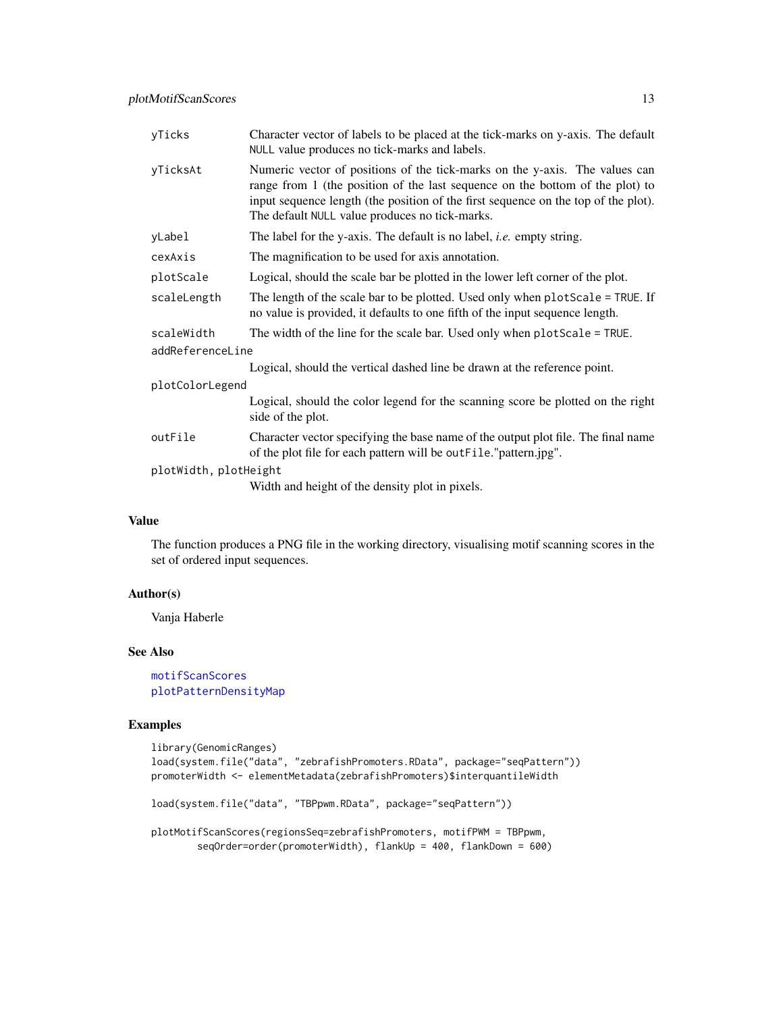<span id="page-12-0"></span>

| yTicks                | Character vector of labels to be placed at the tick-marks on y-axis. The default<br>NULL value produces no tick-marks and labels.                                                                                                                                                                    |  |
|-----------------------|------------------------------------------------------------------------------------------------------------------------------------------------------------------------------------------------------------------------------------------------------------------------------------------------------|--|
| yTicksAt              | Numeric vector of positions of the tick-marks on the y-axis. The values can<br>range from 1 (the position of the last sequence on the bottom of the plot) to<br>input sequence length (the position of the first sequence on the top of the plot).<br>The default NULL value produces no tick-marks. |  |
| yLabel                | The label for the y-axis. The default is no label, <i>i.e.</i> empty string.                                                                                                                                                                                                                         |  |
| cexAxis               | The magnification to be used for axis annotation.                                                                                                                                                                                                                                                    |  |
| plotScale             | Logical, should the scale bar be plotted in the lower left corner of the plot.                                                                                                                                                                                                                       |  |
| scaleLength           | The length of the scale bar to be plotted. Used only when plotScale = TRUE. If<br>no value is provided, it defaults to one fifth of the input sequence length.                                                                                                                                       |  |
| scaleWidth            | The width of the line for the scale bar. Used only when plot Scale = TRUE.                                                                                                                                                                                                                           |  |
| addReferenceLine      |                                                                                                                                                                                                                                                                                                      |  |
|                       | Logical, should the vertical dashed line be drawn at the reference point.                                                                                                                                                                                                                            |  |
| plotColorLegend       |                                                                                                                                                                                                                                                                                                      |  |
|                       | Logical, should the color legend for the scanning score be plotted on the right<br>side of the plot.                                                                                                                                                                                                 |  |
| outFile               | Character vector specifying the base name of the output plot file. The final name<br>of the plot file for each pattern will be outFile."pattern.jpg".                                                                                                                                                |  |
| plotWidth, plotHeight |                                                                                                                                                                                                                                                                                                      |  |
|                       | Width and height of the density plot in pixels.                                                                                                                                                                                                                                                      |  |

# Value

The function produces a PNG file in the working directory, visualising motif scanning scores in the set of ordered input sequences.

#### Author(s)

Vanja Haberle

### See Also

[motifScanScores](#page-5-1) [plotPatternDensityMap](#page-13-1)

# Examples

```
library(GenomicRanges)
load(system.file("data", "zebrafishPromoters.RData", package="seqPattern"))
promoterWidth <- elementMetadata(zebrafishPromoters)$interquantileWidth
load(system.file("data", "TBPpwm.RData", package="seqPattern"))
```
plotMotifScanScores(regionsSeq=zebrafishPromoters, motifPWM = TBPpwm, seqOrder=order(promoterWidth), flankUp = 400, flankDown = 600)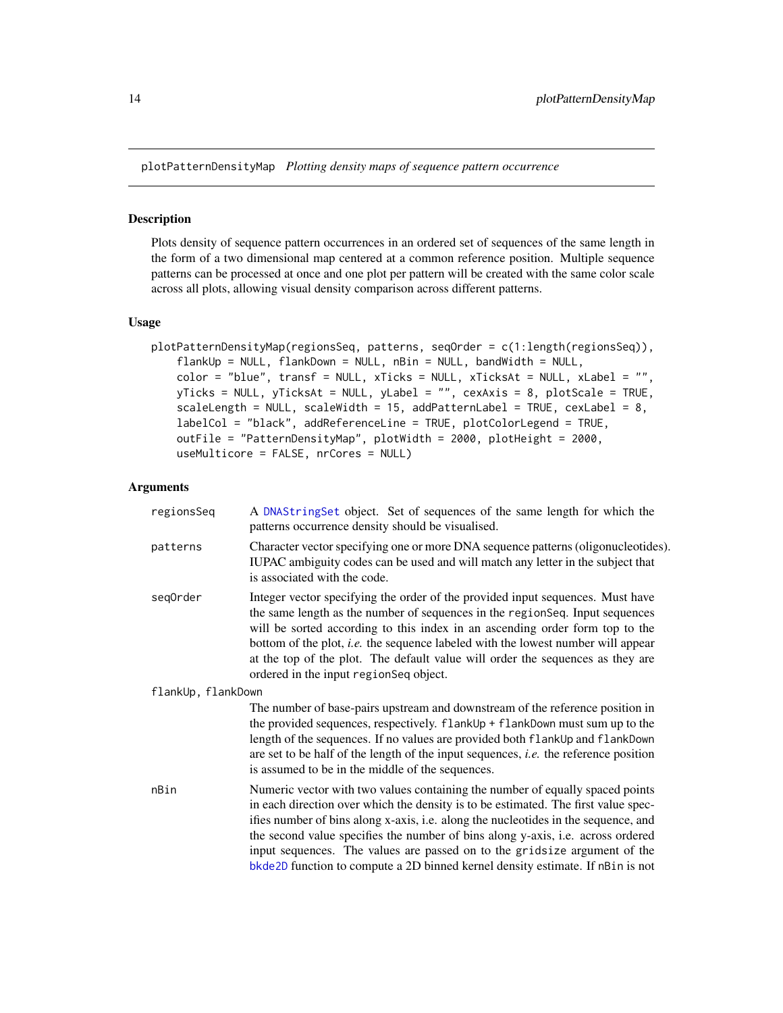<span id="page-13-1"></span><span id="page-13-0"></span>plotPatternDensityMap *Plotting density maps of sequence pattern occurrence*

#### Description

Plots density of sequence pattern occurrences in an ordered set of sequences of the same length in the form of a two dimensional map centered at a common reference position. Multiple sequence patterns can be processed at once and one plot per pattern will be created with the same color scale across all plots, allowing visual density comparison across different patterns.

# Usage

```
plotPatternDensityMap(regionsSeq, patterns, seqOrder = c(1:length(regionsSeq)),
    flankUp = NULL, flankDown = NULL, nBin = NULL, bandWidth = NULL,
   color = "blue", transf = NULL, xTicks = NULL, xTicksAt = NULL, xLabel = "",
   yTicks = NULL, yTicksAt = NULL, yLabel = "", cexAxis = 8, plotScale = TRUE,
    scaleLength = NULL, scaleWidth = 15, addPatternLabel = TRUE, cexLabel = 8,
   labelCol = "black", addReferenceLine = TRUE, plotColorLegend = TRUE,
   outFile = "PatternDensityMap", plotWidth = 2000, plotHeight = 2000,
   useMulticore = FALSE, nrCores = NULL)
```

| regionsSeq         | A DNAStringSet object. Set of sequences of the same length for which the<br>patterns occurrence density should be visualised.                                                                                                                                                                                                                                                                                                                                                                               |
|--------------------|-------------------------------------------------------------------------------------------------------------------------------------------------------------------------------------------------------------------------------------------------------------------------------------------------------------------------------------------------------------------------------------------------------------------------------------------------------------------------------------------------------------|
| patterns           | Character vector specifying one or more DNA sequence patterns (oligonucleotides).<br>IUPAC ambiguity codes can be used and will match any letter in the subject that<br>is associated with the code.                                                                                                                                                                                                                                                                                                        |
| seqOrder           | Integer vector specifying the order of the provided input sequences. Must have<br>the same length as the number of sequences in the regionSeq. Input sequences<br>will be sorted according to this index in an ascending order form top to the<br>bottom of the plot, <i>i.e.</i> the sequence labeled with the lowest number will appear<br>at the top of the plot. The default value will order the sequences as they are<br>ordered in the input region Seq object.                                      |
| flankUp, flankDown |                                                                                                                                                                                                                                                                                                                                                                                                                                                                                                             |
|                    | The number of base-pairs upstream and downstream of the reference position in<br>the provided sequences, respectively. flankUp + flankDown must sum up to the<br>length of the sequences. If no values are provided both flankUp and flankDown<br>are set to be half of the length of the input sequences, <i>i.e.</i> the reference position<br>is assumed to be in the middle of the sequences.                                                                                                           |
| nBin               | Numeric vector with two values containing the number of equally spaced points<br>in each direction over which the density is to be estimated. The first value spec-<br>ifies number of bins along x-axis, i.e. along the nucleotides in the sequence, and<br>the second value specifies the number of bins along y-axis, i.e. across ordered<br>input sequences. The values are passed on to the gridsize argument of the<br>bkde2D function to compute a 2D binned kernel density estimate. If nBin is not |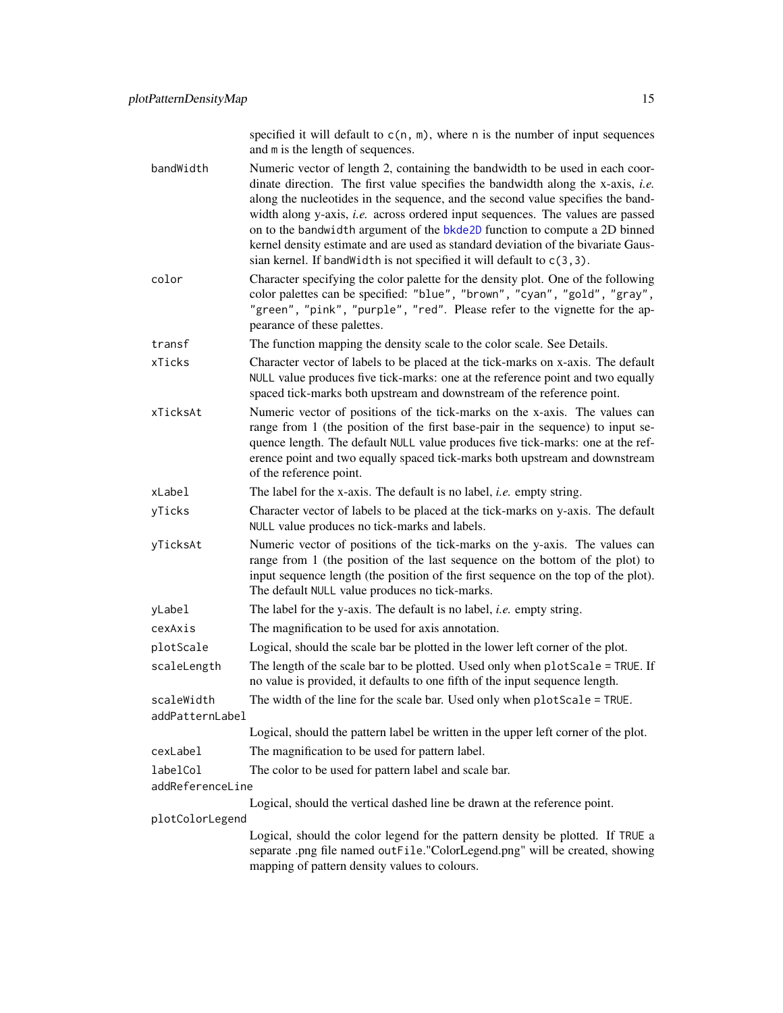specified it will default to  $c(n, m)$ , where n is the number of input sequences and m is the length of sequences.

- <span id="page-14-0"></span>bandWidth Numeric vector of length 2, containing the bandwidth to be used in each coordinate direction. The first value specifies the bandwidth along the x-axis, *i.e.* along the nucleotides in the sequence, and the second value specifies the bandwidth along y-axis, *i.e.* across ordered input sequences. The values are passed on to the bandwidth argument of the [bkde2D](#page-0-0) function to compute a 2D binned kernel density estimate and are used as standard deviation of the bivariate Gaussian kernel. If bandWidth is not specified it will default to c(3,3).
- color Character specifying the color palette for the density plot. One of the following color palettes can be specified: "blue", "brown", "cyan", "gold", "gray", "green", "pink", "purple", "red". Please refer to the vignette for the appearance of these palettes.
- transf The function mapping the density scale to the color scale. See Details.
- xTicks Character vector of labels to be placed at the tick-marks on x-axis. The default NULL value produces five tick-marks: one at the reference point and two equally spaced tick-marks both upstream and downstream of the reference point.
- xTicksAt Numeric vector of positions of the tick-marks on the x-axis. The values can range from 1 (the position of the first base-pair in the sequence) to input sequence length. The default NULL value produces five tick-marks: one at the reference point and two equally spaced tick-marks both upstream and downstream of the reference point.
- xLabel The label for the x-axis. The default is no label, *i.e.* empty string.
- yTicks Character vector of labels to be placed at the tick-marks on y-axis. The default NULL value produces no tick-marks and labels.
- yTicksAt Numeric vector of positions of the tick-marks on the y-axis. The values can range from 1 (the position of the last sequence on the bottom of the plot) to input sequence length (the position of the first sequence on the top of the plot). The default NULL value produces no tick-marks.
- yLabel The label for the y-axis. The default is no label, *i.e.* empty string.
- cexAxis The magnification to be used for axis annotation.
- plotScale Logical, should the scale bar be plotted in the lower left corner of the plot.
- scaleLength The length of the scale bar to be plotted. Used only when plotScale = TRUE. If no value is provided, it defaults to one fifth of the input sequence length.
- scaleWidth The width of the line for the scale bar. Used only when plotScale = TRUE. addPatternLabel
- Logical, should the pattern label be written in the upper left corner of the plot.
- cexLabel The magnification to be used for pattern label.
- labelCol The color to be used for pattern label and scale bar.

# addReferenceLine

Logical, should the vertical dashed line be drawn at the reference point.

# plotColorLegend

Logical, should the color legend for the pattern density be plotted. If TRUE a separate .png file named outFile."ColorLegend.png" will be created, showing mapping of pattern density values to colours.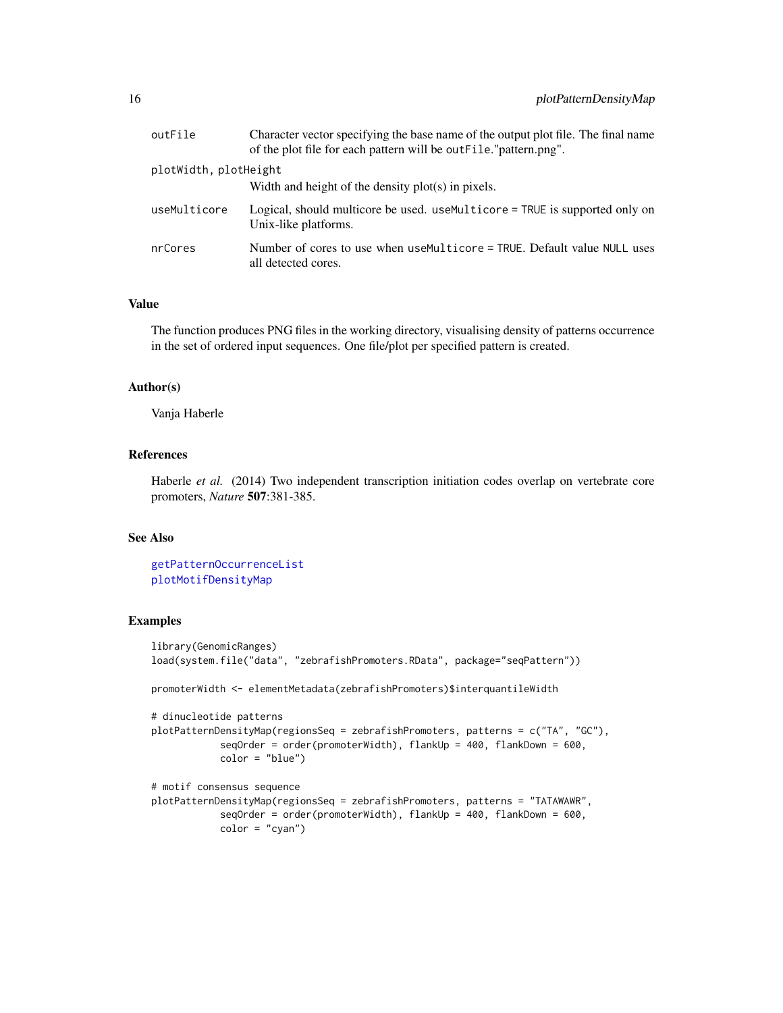<span id="page-15-0"></span>

| outFile               | Character vector specifying the base name of the output plot file. The final name<br>of the plot file for each pattern will be out File." pattern.png". |  |
|-----------------------|---------------------------------------------------------------------------------------------------------------------------------------------------------|--|
| plotWidth, plotHeight |                                                                                                                                                         |  |
|                       | Width and height of the density $plot(s)$ in pixels.                                                                                                    |  |
| useMulticore          | Logical, should multicore be used. use Multicore = TRUE is supported only on<br>Unix-like platforms.                                                    |  |
| nrCores               | Number of cores to use when useMulticore = TRUE. Default value NULL uses<br>all detected cores.                                                         |  |

# Value

The function produces PNG files in the working directory, visualising density of patterns occurrence in the set of ordered input sequences. One file/plot per specified pattern is created.

#### Author(s)

Vanja Haberle

#### References

Haberle *et al.* (2014) Two independent transcription initiation codes overlap on vertebrate core promoters, *Nature* 507:381-385.

# See Also

[getPatternOccurrenceList](#page-1-1) [plotMotifDensityMap](#page-6-1)

#### Examples

```
library(GenomicRanges)
load(system.file("data", "zebrafishPromoters.RData", package="seqPattern"))
promoterWidth <- elementMetadata(zebrafishPromoters)$interquantileWidth
# dinucleotide patterns
plotPatternDensityMap(regionsSeq = zebrafishPromoters, patterns = c("TA", "GC"),
           seqOrder = order(promoterWidth), flankUp = 400, flankDown = 600,
           color = "blue")
# motif consensus sequence
plotPatternDensityMap(regionsSeq = zebrafishPromoters, patterns = "TATAWAWR",
           seqOrder = order(promoterWidth), flankUp = 400, flankDown = 600,
           color = "cyan")
```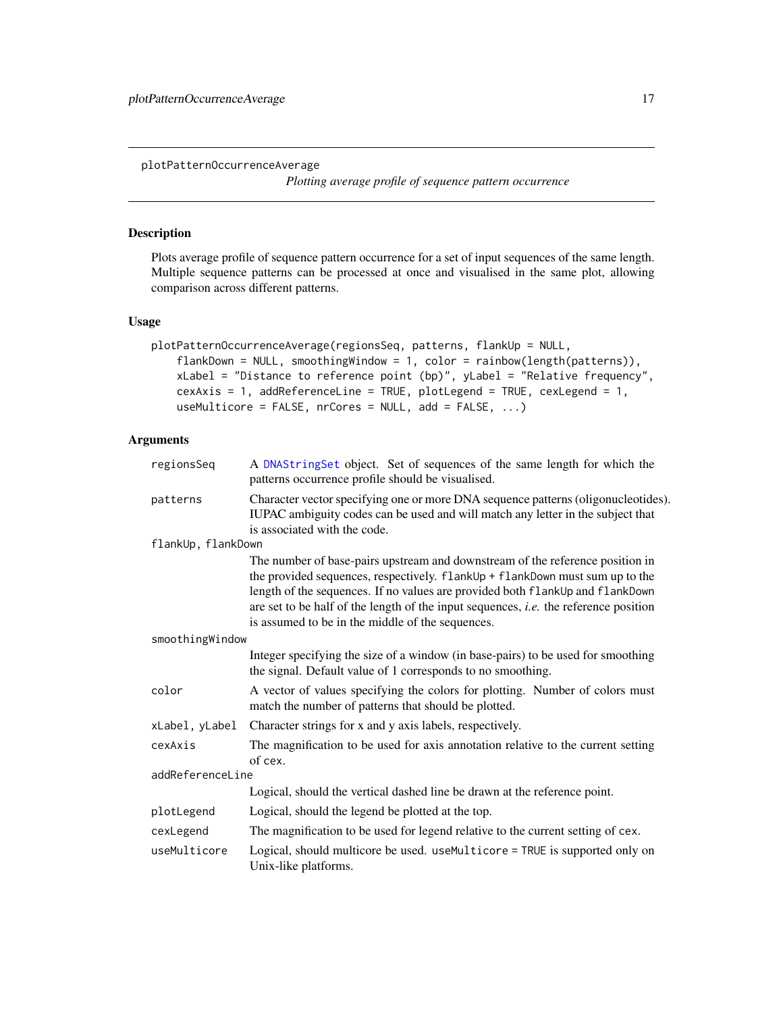<span id="page-16-0"></span>plotPatternOccurrenceAverage

*Plotting average profile of sequence pattern occurrence*

# Description

Plots average profile of sequence pattern occurrence for a set of input sequences of the same length. Multiple sequence patterns can be processed at once and visualised in the same plot, allowing comparison across different patterns.

#### Usage

```
plotPatternOccurrenceAverage(regionsSeq, patterns, flankUp = NULL,
    flankDown = NULL, smoothingWindow = 1, color = rainbow(length(patterns)),
    xLabel = "Distance to reference point (bp)", yLabel = "Relative frequency",
    cexAxis = 1, addReferenceLine = TRUE, plotLegend = TRUE, cexLegend = 1,
    useMulticore = FALSE, nrCores = NULL, add = FALSE, ...)
```

| regionsSeq         | A DNAStringSet object. Set of sequences of the same length for which the<br>patterns occurrence profile should be visualised.                                                                                                                                                                                                                                                                     |
|--------------------|---------------------------------------------------------------------------------------------------------------------------------------------------------------------------------------------------------------------------------------------------------------------------------------------------------------------------------------------------------------------------------------------------|
| patterns           | Character vector specifying one or more DNA sequence patterns (oligonucleotides).<br>IUPAC ambiguity codes can be used and will match any letter in the subject that<br>is associated with the code.                                                                                                                                                                                              |
| flankUp, flankDown |                                                                                                                                                                                                                                                                                                                                                                                                   |
|                    | The number of base-pairs upstream and downstream of the reference position in<br>the provided sequences, respectively. flankUp + flankDown must sum up to the<br>length of the sequences. If no values are provided both flankUp and flankDown<br>are set to be half of the length of the input sequences, <i>i.e.</i> the reference position<br>is assumed to be in the middle of the sequences. |
| smoothingWindow    |                                                                                                                                                                                                                                                                                                                                                                                                   |
|                    | Integer specifying the size of a window (in base-pairs) to be used for smoothing<br>the signal. Default value of 1 corresponds to no smoothing.                                                                                                                                                                                                                                                   |
| color              | A vector of values specifying the colors for plotting. Number of colors must<br>match the number of patterns that should be plotted.                                                                                                                                                                                                                                                              |
| xLabel, yLabel     | Character strings for x and y axis labels, respectively.                                                                                                                                                                                                                                                                                                                                          |
| cexAxis            | The magnification to be used for axis annotation relative to the current setting<br>of cex.                                                                                                                                                                                                                                                                                                       |
| addReferenceLine   |                                                                                                                                                                                                                                                                                                                                                                                                   |
|                    | Logical, should the vertical dashed line be drawn at the reference point.                                                                                                                                                                                                                                                                                                                         |
| plotLegend         | Logical, should the legend be plotted at the top.                                                                                                                                                                                                                                                                                                                                                 |
| cexLegend          | The magnification to be used for legend relative to the current setting of cex.                                                                                                                                                                                                                                                                                                                   |
| useMulticore       | Logical, should multicore be used. useMulticore = TRUE is supported only on<br>Unix-like platforms.                                                                                                                                                                                                                                                                                               |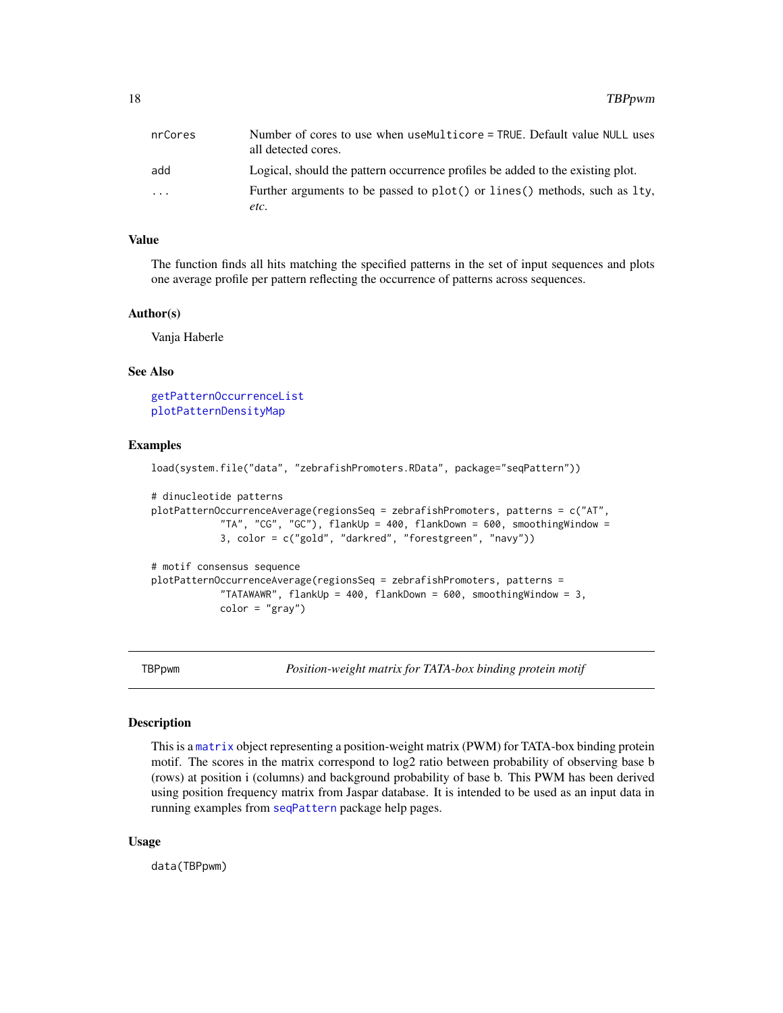<span id="page-17-0"></span>

| nrCores                 | Number of cores to use when useMulticore = TRUE. Default value NULL uses<br>all detected cores. |
|-------------------------|-------------------------------------------------------------------------------------------------|
| add                     | Logical, should the pattern occurrence profiles be added to the existing plot.                  |
| $\cdot$ $\cdot$ $\cdot$ | Further arguments to be passed to plot() or lines() methods, such as lty,<br>etc.               |

# Value

The function finds all hits matching the specified patterns in the set of input sequences and plots one average profile per pattern reflecting the occurrence of patterns across sequences.

#### Author(s)

Vanja Haberle

# See Also

[getPatternOccurrenceList](#page-1-1) [plotPatternDensityMap](#page-13-1)

### Examples

```
load(system.file("data", "zebrafishPromoters.RData", package="seqPattern"))
# dinucleotide patterns
plotPatternOccurrenceAverage(regionsSeq = zebrafishPromoters, patterns = c("AT",
            "TA", "CG", "GC"), flankUp = 400, flankDown = 600, smoothingWindow =3, color = c("gold", "darkred", "forestgreen", "navy"))
# motif consensus sequence
plotPatternOccurrenceAverage(regionsSeq = zebrafishPromoters, patterns =
            "TATAWAWR", flankUp = 400, flankDown = 600, smoothingWindow = 3,
           color = "gray")
```
TBPpwm *Position-weight matrix for TATA-box binding protein motif*

#### Description

This is a [matrix](#page-0-0) object representing a position-weight matrix (PWM) for TATA-box binding protein motif. The scores in the matrix correspond to log2 ratio between probability of observing base b (rows) at position i (columns) and background probability of base b. This PWM has been derived using position frequency matrix from Jaspar database. It is intended to be used as an input data in running examples from [seqPattern](#page-1-2) package help pages.

#### Usage

data(TBPpwm)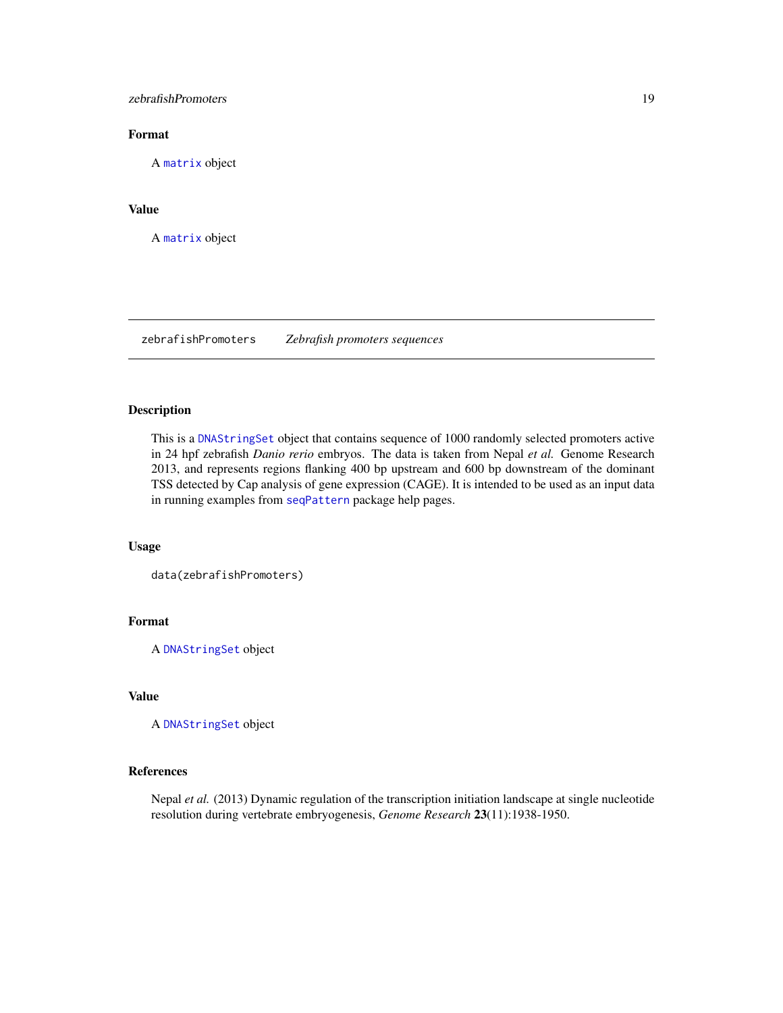<span id="page-18-0"></span>zebrafishPromoters 19

# Format

A [matrix](#page-0-0) object

# Value

A [matrix](#page-0-0) object

zebrafishPromoters *Zebrafish promoters sequences*

# Description

This is a [DNAStringSet](#page-0-0) object that contains sequence of 1000 randomly selected promoters active in 24 hpf zebrafish *Danio rerio* embryos. The data is taken from Nepal *et al.* Genome Research 2013, and represents regions flanking 400 bp upstream and 600 bp downstream of the dominant TSS detected by Cap analysis of gene expression (CAGE). It is intended to be used as an input data in running examples from [seqPattern](#page-1-2) package help pages.

#### Usage

```
data(zebrafishPromoters)
```
# Format

A [DNAStringSet](#page-0-0) object

# Value

A [DNAStringSet](#page-0-0) object

# References

Nepal *et al.* (2013) Dynamic regulation of the transcription initiation landscape at single nucleotide resolution during vertebrate embryogenesis, *Genome Research* 23(11):1938-1950.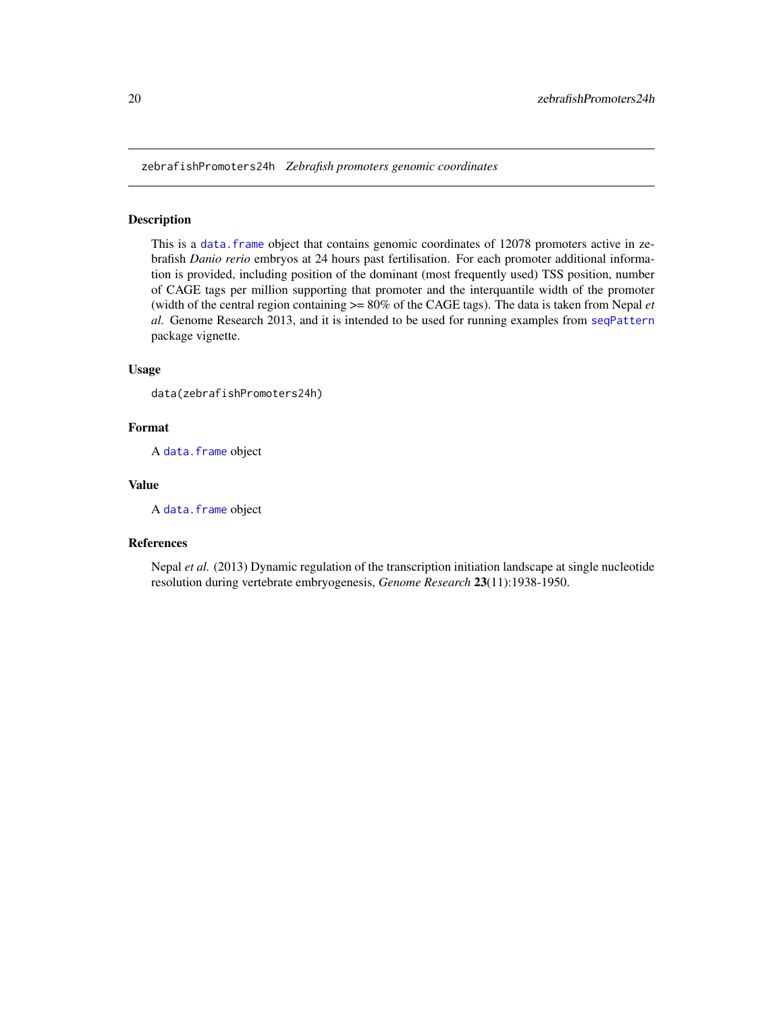<span id="page-19-0"></span>zebrafishPromoters24h *Zebrafish promoters genomic coordinates*

# Description

This is a data. frame object that contains genomic coordinates of 12078 promoters active in zebrafish *Danio rerio* embryos at 24 hours past fertilisation. For each promoter additional information is provided, including position of the dominant (most frequently used) TSS position, number of CAGE tags per million supporting that promoter and the interquantile width of the promoter (width of the central region containing >= 80% of the CAGE tags). The data is taken from Nepal *et al.* Genome Research 2013, and it is intended to be used for running examples from [seqPattern](#page-1-2) package vignette.

#### Usage

```
data(zebrafishPromoters24h)
```
#### Format

A [data.frame](#page-0-0) object

# Value

A [data.frame](#page-0-0) object

#### References

Nepal *et al.* (2013) Dynamic regulation of the transcription initiation landscape at single nucleotide resolution during vertebrate embryogenesis, *Genome Research* 23(11):1938-1950.